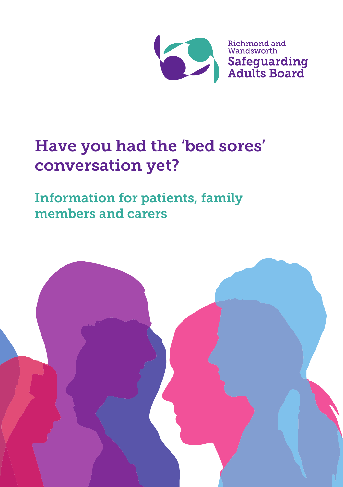

# Have you had the 'bed sores' conversation yet?

Information for patients, family members and carers

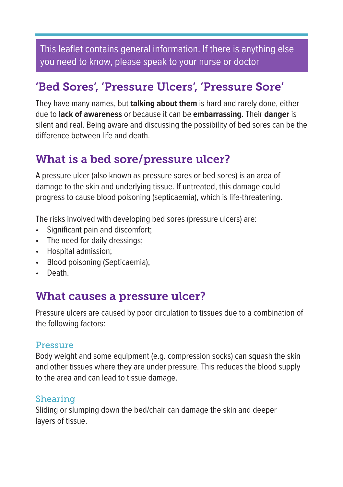This leaflet contains general information. If there is anything else you need to know, please speak to your nurse or doctor

# 'Bed Sores', 'Pressure Ulcers', 'Pressure Sore'

They have many names, but **talking about them** is hard and rarely done, either due to **lack of awareness** or because it can be **embarrassing**. Their **danger** is silent and real. Being aware and discussing the possibility of bed sores can be the difference between life and death.

## What is a bed sore/pressure ulcer?

A pressure ulcer (also known as pressure sores or bed sores) is an area of damage to the skin and underlying tissue. If untreated, this damage could progress to cause blood poisoning (septicaemia), which is life-threatening.

The risks involved with developing bed sores (pressure ulcers) are:

- Significant pain and discomfort;
- The need for daily dressings;
- Hospital admission;
- Blood poisoning (Septicaemia);
- Death.

### What causes a pressure ulcer?

Pressure ulcers are caused by poor circulation to tissues due to a combination of the following factors:

#### Pressure

Body weight and some equipment (e.g. compression socks) can squash the skin and other tissues where they are under pressure. This reduces the blood supply to the area and can lead to tissue damage.

#### Shearing

Sliding or slumping down the bed/chair can damage the skin and deeper layers of tissue.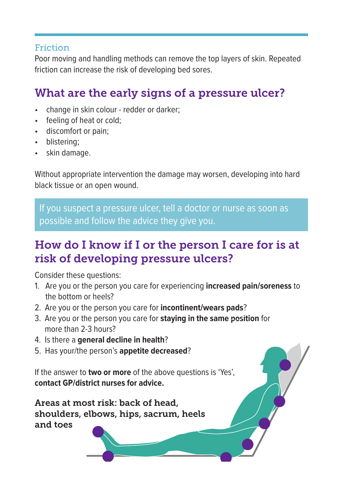#### **Friction**

Poor moving and handling methods can remove the top layers of skin. Repeated friction can increase the risk of developing bed sores.

# What are the early signs of a pressure ulcer?

- change in skin colour redder or darker;
- feeling of heat or cold;
- discomfort or pain;
- blistering:
- skin damage.

Without appropriate intervention the damage may worsen, developing into hard black tissue or an open wound.

If you suspect a pressure ulcer, tell a doctor or nurse as soon as possible and follow the advice they give you.

### How do I know if I or the person I care for is at risk of developing pressure ulcers?

Consider these questions:

- 1. Are you or the person you care for experiencing **increased pain/soreness** to the bottom or heels?
- 2. Are you or the person you care for **incontinent/wears pads**?
- 3. Are you or the person you care for **staying in the same position** for more than 2-3 hours?
- 4. Is there a **general decline in health**?
- 5. Has your/the person's **appetite decreased**?

If the answer to **two or more** of the above questions is 'Yes', **contact GP/district nurses for advice.**

Areas at most risk: back of head, shoulders, elbows, hips, sacrum, heels and toes